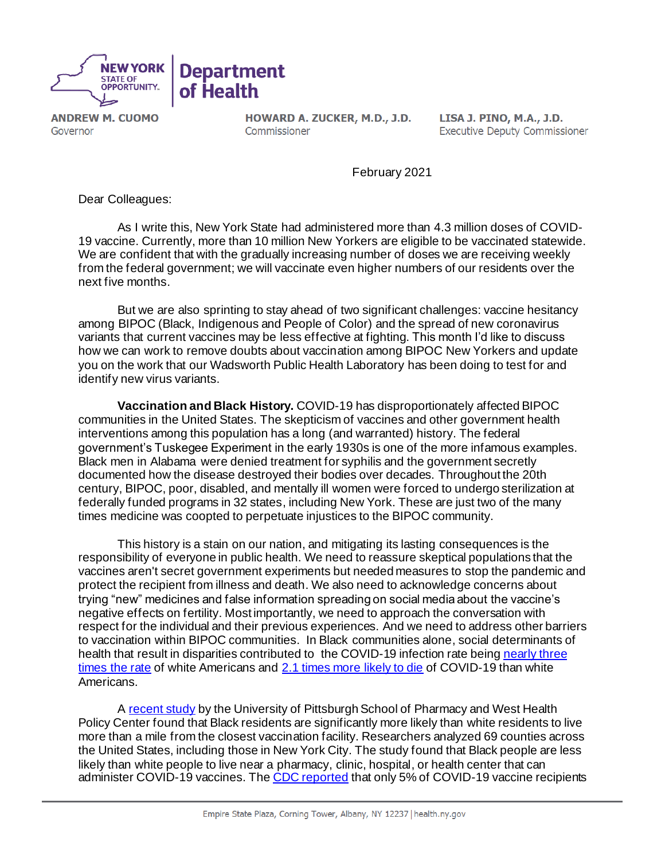

**ANDREW M. CUOMO** Governor

HOWARD A. ZUCKER, M.D., J.D. Commissioner

LISA J. PINO, M.A., J.D. **Executive Deputy Commissioner** 

February 2021

Dear Colleagues:

As I write this, New York State had administered more than 4.3 million doses of COVID-19 vaccine. Currently, more than 10 million New Yorkers are eligible to be vaccinated statewide. We are confident that with the gradually increasing number of doses we are receiving weekly from the federal government; we will vaccinate even higher numbers of our residents over the next five months.

But we are also sprinting to stay ahead of two significant challenges: vaccine hesitancy among BIPOC (Black, Indigenous and People of Color) and the spread of new coronavirus variants that current vaccines may be less effective at fighting. This month I'd like to discuss how we can work to remove doubts about vaccination among BIPOC New Yorkers and update you on the work that our Wadsworth Public Health Laboratory has been doing to test for and identify new virus variants.

**Vaccination and Black History.** COVID-19 has disproportionately affected BIPOC communities in the United States. The skepticism of vaccines and other government health interventions among this population has a long (and warranted) history. The federal government's Tuskegee Experiment in the early 1930s is one of the more infamous examples. Black men in Alabama were denied treatment for syphilis and the government secretly documented how the disease destroyed their bodies over decades. Throughout the 20th century, BIPOC, poor, disabled, and mentally ill women were forced to undergo sterilization at federally funded programs in 32 states, including New York. These are just two of the many times medicine was coopted to perpetuate injustices to the BIPOC community.

This history is a stain on our nation, and mitigating its lasting consequences is the responsibility of everyone in public health. We need to reassure skeptical populations that the vaccines aren't secret government experiments but needed measures to stop the pandemic and protect the recipient from illness and death. We also need to acknowledge concerns about trying "new" medicines and false information spreading on social media about the vaccine's negative effects on fertility. Most importantly, we need to approach the conversation with respect for the individual and their previous experiences. And we need to address other barriers to vaccination within BIPOC communities. In Black communities alone, social determinants of health that result in disparities contributed to the COVID-19 infection rate being [nearly three](https://soba.iamempowered.com/2020-report)  [times the rate](https://soba.iamempowered.com/2020-report) of white Americans and [2.1 times more likely to die](https://www.apmresearchlab.org/covid/deaths-by-race) of COVID-19 than white Americans.

A [recent study](https://www.pittwire.pitt.edu/news/map-shows-where-black-americans-will-travel-farther-whites-covid-19-vaccination) by the University of Pittsburgh School of Pharmacy and West Health Policy Center found that Black residents are significantly more likely than white residents to live more than a mile from the closest vaccination facility. Researchers analyzed 69 counties across the United States, including those in New York City. The study found that Black people are less likely than white people to live near a pharmacy, clinic, hospital, or health center that can administer COVID-19 vaccines. Th[e CDC reported](https://www.cdc.gov/mmwr/volumes/70/wr/mm7005e1.htm) that only 5% of COVID-19 vaccine recipients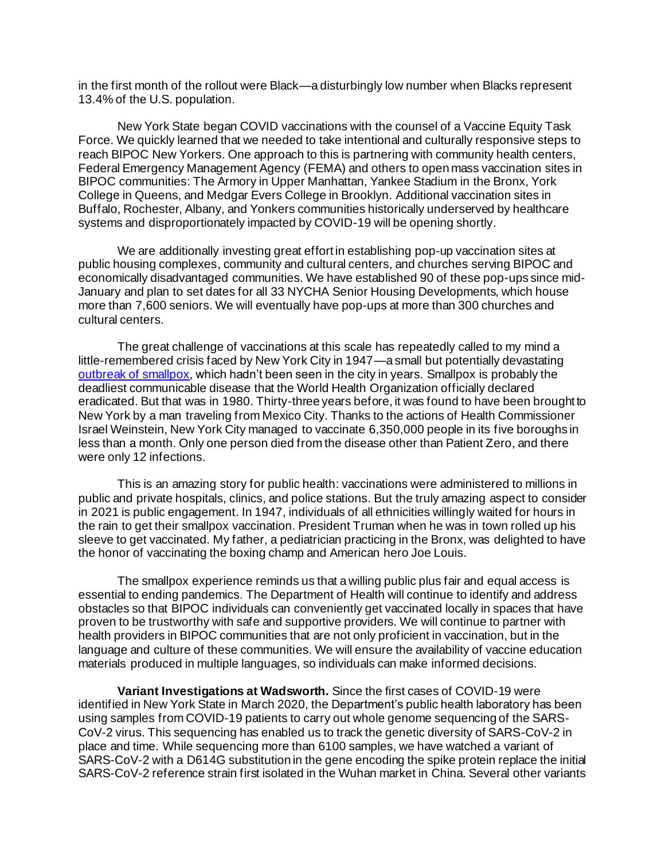in the first month of the rollout were Black—a disturbingly low number when Blacks represent 13.4% of the U.S. population.

New York State began COVID vaccinations with the counsel of a Vaccine Equity Task Force. We quickly learned that we needed to take intentional and culturally responsive steps to reach BIPOC New Yorkers. One approach to this is partnering with community health centers, Federal Emergency Management Agency (FEMA) and others to open mass vaccination sites in BIPOC communities: The Armory in Upper Manhattan, Yankee Stadium in the Bronx, York College in Queens, and Medgar Evers College in Brooklyn. Additional vaccination sites in Buffalo, Rochester, Albany, and Yonkers communities historically underserved by healthcare systems and disproportionately impacted by COVID-19 will be opening shortly.

We are additionally investing great effort in establishing pop-up vaccination sites at public housing complexes, community and cultural centers, and churches serving BIPOC and economically disadvantaged communities. We have established 90 of these pop-ups since mid-January and plan to set dates for all 33 NYCHA Senior Housing Developments, which house more than 7,600 seniors. We will eventually have pop-ups at more than 300 churches and cultural centers.

The great challenge of vaccinations at this scale has repeatedly called to my mind a little-remembered crisis faced by New York City in 1947—a small but potentially devastating [outbreak of smallpox,](https://www.ncbi.nlm.nih.gov/pmc/articles/PMC3323221/) which hadn't been seen in the city in years. Smallpox is probably the deadliest communicable disease that the World Health Organization officially declared eradicated. But that was in 1980. Thirty-three years before, it was found to have been brought to New York by a man traveling from Mexico City. Thanks to the actions of Health Commissioner Israel Weinstein, New York City managed to vaccinate 6,350,000 people in its five boroughs in less than a month. Only one person died from the disease other than Patient Zero, and there were only 12 infections.

This is an amazing story for public health: vaccinations were administered to millions in public and private hospitals, clinics, and police stations. But the truly amazing aspect to consider in 2021 is public engagement. In 1947, individuals of all ethnicities willingly waited for hours in the rain to get their smallpox vaccination. President Truman when he was in town rolled up his sleeve to get vaccinated. My father, a pediatrician practicing in the Bronx, was delighted to have the honor of vaccinating the boxing champ and American hero Joe Louis.

The smallpox experience reminds us that a willing public plus fair and equal access is essential to ending pandemics. The Department of Health will continue to identify and address obstacles so that BIPOC individuals can conveniently get vaccinated locally in spaces that have proven to be trustworthy with safe and supportive providers. We will continue to partner with health providers in BIPOC communities that are not only proficient in vaccination, but in the language and culture of these communities. We will ensure the availability of vaccine education materials produced in multiple languages, so individuals can make informed decisions.

**Variant Investigations at Wadsworth.** Since the first cases of COVID-19 were identified in New York State in March 2020, the Department's public health laboratory has been using samples from COVID-19 patients to carry out whole genome sequencing of the SARS-CoV-2 virus. This sequencing has enabled us to track the genetic diversity of SARS-CoV-2 in place and time. While sequencing more than 6100 samples, we have watched a variant of SARS-CoV-2 with a D614G substitution in the gene encoding the spike protein replace the initial SARS-CoV-2 reference strain first isolated in the Wuhan market in China. Several other variants